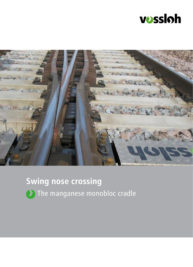



# **Swing nose crossing**



(2) The manganese monobloc cradle